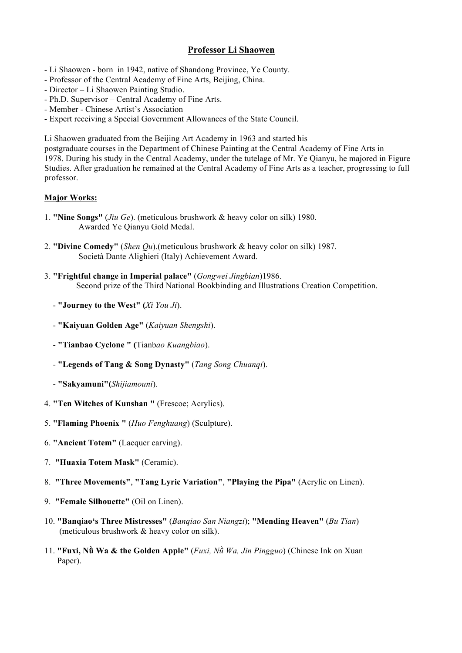## **Professor Li Shaowen**

- Li Shaowen born in 1942, native of Shandong Province, Ye County.
- Professor of the Central Academy of Fine Arts, Beijing, China.
- Director Li Shaowen Painting Studio.
- Ph.D. Supervisor Central Academy of Fine Arts.
- Member Chinese Artist's Association
- Expert receiving a Special Government Allowances of the State Council.

Li Shaowen graduated from the Beijing Art Academy in 1963 and started his

postgraduate courses in the Department of Chinese Painting at the Central Academy of Fine Arts in 1978. During his study in the Central Academy, under the tutelage of Mr. Ye Qianyu, he majored in Figure Studies. After graduation he remained at the Central Academy of Fine Arts as a teacher, progressing to full professor.

## **Major Works:**

- 1. **"Nine Songs"** (*Jiu Ge*). (meticulous brushwork & heavy color on silk) 1980. Awarded Ye Qianyu Gold Medal.
- 2. **"Divine Comedy"** (*Shen Qu*).(meticulous brushwork & heavy color on silk) 1987. Società Dante Alighieri (Italy) Achievement Award.
- 3. **"Frightful change in Imperial palace"** (*Gongwei Jingbian*)1986. Second prize of the Third National Bookbinding and Illustrations Creation Competition.
	- **"Journey to the West" (***Xi You Ji*).
	- **"Kaiyuan Golden Age"** (*Kaiyuan Shengshi*).
	- **"Tianbao Cyclone " (**Tianb*ao Kuangbiao*).
	- **"Legends of Tang & Song Dynasty"** (*Tang Song Chuanqi*).
	- **"Sakyamuni"(***Shijiamouni*).
- 4. **"Ten Witches of Kunshan "** (Frescoe; Acrylics).
- 5. **"Flaming Phoenix "** (*Huo Fenghuang*) (Sculpture).
- 6. **"Ancient Totem"** (Lacquer carving).
- 7. **"Huaxia Totem Mask"** (Ceramic).
- 8. **"Three Movements"**, **"Tang Lyric Variation"**, **"Playing the Pipa"** (Acrylic on Linen).
- 9. **"Female Silhouette"** (Oil on Linen).
- 10. **"Banqiao's Three Mistresses"** (*Banqiao San Niangzi*); **"Mending Heaven"** (*Bu Tian*) (meticulous brushwork & heavy color on silk).
- 11. **"Fuxi, Nǜ Wa & the Golden Apple"** (*Fuxi, Nǜ Wa, Jin Pingguo*) (Chinese Ink on Xuan Paper).